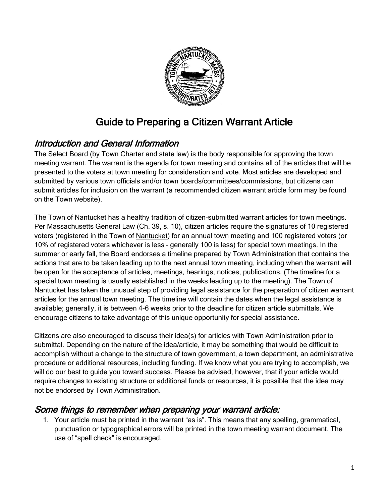

# Guide to Preparing a Citizen Warrant Article

## Introduction and General Information

The Select Board (by Town Charter and state law) is the body responsible for approving the town meeting warrant. The warrant is the agenda for town meeting and contains all of the articles that will be presented to the voters at town meeting for consideration and vote. Most articles are developed and submitted by various town officials and/or town boards/committees/commissions, but citizens can submit articles for inclusion on the warrant (a recommended citizen warrant article form may be found on the Town website).

The Town of Nantucket has a healthy tradition of citizen-submitted warrant articles for town meetings. Per Massachusetts General Law (Ch. 39, s. 10), citizen articles require the signatures of 10 registered voters (registered in the Town of Nantucket) for an annual town meeting and 100 registered voters (or 10% of registered voters whichever is less – generally 100 is less) for special town meetings. In the summer or early fall, the Board endorses a timeline prepared by Town Administration that contains the actions that are to be taken leading up to the next annual town meeting, including when the warrant will be open for the acceptance of articles, meetings, hearings, notices, publications. (The timeline for a special town meeting is usually established in the weeks leading up to the meeting). The Town of Nantucket has taken the unusual step of providing legal assistance for the preparation of citizen warrant articles for the annual town meeting. The timeline will contain the dates when the legal assistance is available; generally, it is between 4-6 weeks prior to the deadline for citizen article submittals. We encourage citizens to take advantage of this unique opportunity for special assistance.

Citizens are also encouraged to discuss their idea(s) for articles with Town Administration prior to submittal. Depending on the nature of the idea/article, it may be something that would be difficult to accomplish without a change to the structure of town government, a town department, an administrative procedure or additional resources, including funding. If we know what you are trying to accomplish, we will do our best to guide you toward success. Please be advised, however, that if your article would require changes to existing structure or additional funds or resources, it is possible that the idea may not be endorsed by Town Administration.

### Some things to remember when preparing your warrant article:

1. Your article must be printed in the warrant "as is". This means that any spelling, grammatical, punctuation or typographical errors will be printed in the town meeting warrant document. The use of "spell check" is encouraged.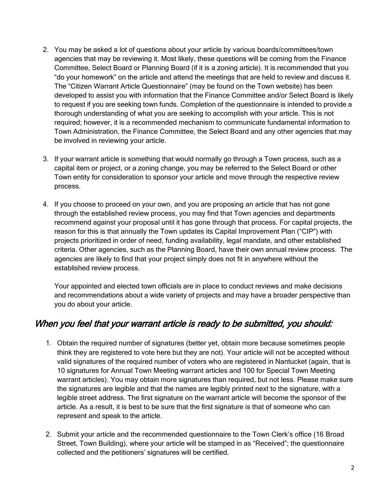- 2. You may be asked a lot of questions about your article by various boards/committees/town agencies that may be reviewing it. Most likely, these questions will be coming from the Finance Committee, Select Board or Planning Board (if it is a zoning article). It is recommended that you "do your homework" on the article and attend the meetings that are held to review and discuss it. The "Citizen Warrant Article Questionnaire" (may be found on the Town website) has been developed to assist you with information that the Finance Committee and/or Select Board is likely to request if you are seeking town funds. Completion of the questionnaire is intended to provide a thorough understanding of what you are seeking to accomplish with your article. This is not required; however, it is a recommended mechanism to communicate fundamental information to Town Administration, the Finance Committee, the Select Board and any other agencies that may be involved in reviewing your article.
- 3. If your warrant article is something that would normally go through a Town process, such as a capital item or project, or a zoning change, you may be referred to the Select Board or other Town entity for consideration to sponsor your article and move through the respective review process.
- 4. If you choose to proceed on your own, and you are proposing an article that has not gone through the established review process, you may find that Town agencies and departments recommend against your proposal until it has gone through that process. For capital projects, the reason for this is that annually the Town updates its Capital Improvement Plan ("CIP") with projects prioritized in order of need, funding availability, legal mandate, and other established criteria. Other agencies, such as the Planning Board, have their own annual review process. The agencies are likely to find that your project simply does not fit in anywhere without the established review process.

Your appointed and elected town officials are in place to conduct reviews and make decisions and recommendations about a wide variety of projects and may have a broader perspective than you do about your article.

### When you feel that your warrant article is ready to be submitted, you should:

- 1. Obtain the required number of signatures (better yet, obtain more because sometimes people think they are registered to vote here but they are not). Your article will not be accepted without valid signatures of the required number of voters who are registered in Nantucket (again, that is 10 signatures for Annual Town Meeting warrant articles and 100 for Special Town Meeting warrant articles). You may obtain more signatures than required, but not less. Please make sure the signatures are legible and that the names are legibly printed next to the signature, with a legible street address. The first signature on the warrant article will become the sponsor of the article. As a result, it is best to be sure that the first signature is that of someone who can represent and speak to the article.
- 2. Submit your article and the recommended questionnaire to the Town Clerk's office (16 Broad Street, Town Building), where your article will be stamped in as "Received"; the questionnaire collected and the petitioners' signatures will be certified.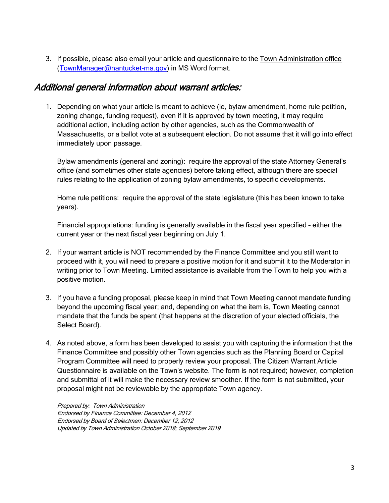3. If possible, please also email your article and questionnaire to the Town Administration office [\(TownManager@nantucket-ma.gov\)](mailto:TownManager@nantucket-ma.gov) in MS Word format.

### Additional general information about warrant articles:

1. Depending on what your article is meant to achieve (ie, bylaw amendment, home rule petition, zoning change, funding request), even if it is approved by town meeting, it may require additional action, including action by other agencies, such as the Commonwealth of Massachusetts, or a ballot vote at a subsequent election. Do not assume that it will go into effect immediately upon passage.

Bylaw amendments (general and zoning): require the approval of the state Attorney General's office (and sometimes other state agencies) before taking effect, although there are special rules relating to the application of zoning bylaw amendments, to specific developments.

Home rule petitions: require the approval of the state legislature (this has been known to take years).

Financial appropriations: funding is generally available in the fiscal year specified – either the current year or the next fiscal year beginning on July 1.

- 2. If your warrant article is NOT recommended by the Finance Committee and you still want to proceed with it, you will need to prepare a positive motion for it and submit it to the Moderator in writing prior to Town Meeting. Limited assistance is available from the Town to help you with a positive motion.
- 3. If you have a funding proposal, please keep in mind that Town Meeting cannot mandate funding beyond the upcoming fiscal year; and, depending on what the item is, Town Meeting cannot mandate that the funds be spent (that happens at the discretion of your elected officials, the Select Board).
- 4. As noted above, a form has been developed to assist you with capturing the information that the Finance Committee and possibly other Town agencies such as the Planning Board or Capital Program Committee will need to properly review your proposal. The Citizen Warrant Article Questionnaire is available on the Town's website. The form is not required; however, completion and submittal of it will make the necessary review smoother. If the form is not submitted, your proposal might not be reviewable by the appropriate Town agency.

Prepared by: Town Administration Endorsed by Finance Committee: December 4, 2012 Endorsed by Board of Selectmen: December 12, 2012 Updated by Town Administration October 2018; September 2019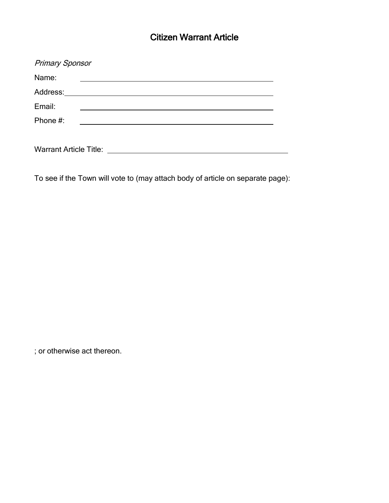# Citizen Warrant Article

| <b>Primary Sponsor</b>        |  |  |
|-------------------------------|--|--|
| Name:                         |  |  |
|                               |  |  |
| Email:                        |  |  |
| Phone #:                      |  |  |
|                               |  |  |
| <b>Warrant Article Title:</b> |  |  |

To see if the Town will vote to (may attach body of article on separate page):

; or otherwise act thereon.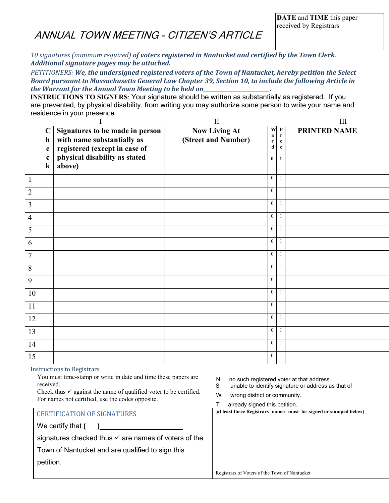# ANNUAL TOWN MEETING - CITIZEN'S ARTICLE

*10 signatures (minimum required) of voters registered in Nantucket and certified by the Town Clerk. Additional signature pages may be attached.* 

*PETITIONERS: We, the undersigned registered voters of the Town of Nantucket, hereby petition the Select Board pursuant to Massachusetts General Law Chapter 39, Section 10, to include the following Article in the Warrant for the Annual Town Meeting to be held on\_\_\_\_\_\_\_\_\_\_\_\_\_\_\_\_\_\_\_\_\_\_\_\_\_\_\_.*

**INSTRUCTIONS TO SIGNERS:** Your signature should be written as substantially as registered. If you are prevented, by physical disability, from writing you may authorize some person to write your name and residence in your presence.

|                |                             |                                                                          | $\rm II$                                    |                  |                                                | Ш                   |
|----------------|-----------------------------|--------------------------------------------------------------------------|---------------------------------------------|------------------|------------------------------------------------|---------------------|
|                | $\mathbf C$<br>$\mathbf h$  | Signatures to be made in person<br>with name substantially as            | <b>Now Living At</b><br>(Street and Number) | W<br>a<br>r<br>d | $\mathbf P$<br>$\mathbf r$<br>e<br>$\mathbf c$ | <b>PRINTED NAME</b> |
|                | e<br>$\mathbf c$<br>$\bf k$ | registered (except in case of<br>physical disability as stated<br>above) |                                             | $\bf{0}$         | $\mathbf{1}$                                   |                     |
| $\mathbf{1}$   |                             |                                                                          |                                             | $\overline{0}$   | -1                                             |                     |
| $\overline{2}$ |                             |                                                                          |                                             | $\tilde{0}$      | $\mathbf{1}$                                   |                     |
| $\overline{3}$ |                             |                                                                          |                                             | $\tilde{0}$      | -1                                             |                     |
| $\overline{4}$ |                             |                                                                          |                                             | $\ddot{0}$       | -1                                             |                     |
| 5              |                             |                                                                          |                                             | $\ddot{0}$       | -1                                             |                     |
| 6              |                             |                                                                          |                                             | $\tilde{0}$      | $\overline{1}$                                 |                     |
| $\overline{7}$ |                             |                                                                          |                                             | $\overline{0}$   | $\overline{1}$                                 |                     |
| 8              |                             |                                                                          |                                             | $\tilde{0}$      | $\mathbf{1}$                                   |                     |
| 9              |                             |                                                                          |                                             | $\tilde{0}$      | -1                                             |                     |
| 10             |                             |                                                                          |                                             | $\tilde{0}$      | -1                                             |                     |
| 11             |                             |                                                                          |                                             | $\overline{0}$   | $\overline{1}$                                 |                     |
| 12             |                             |                                                                          |                                             | $\ddot{0}$       | $\mathbf{1}$                                   |                     |
| 13             |                             |                                                                          |                                             | $\overline{0}$   | $\mathbf{1}$                                   |                     |
| 14             |                             |                                                                          |                                             | $\ddot{0}$       | -1                                             |                     |
| 15             |                             |                                                                          |                                             | $\mathbf{0}$     | $\mathbf{1}$                                   |                     |

#### Instructions to Registrars

| You must time-stamp or write in date and time these papers are<br>received.                                                      | no such registered voter at that address.<br>N<br>unable to identify signature or address as that of<br>S |
|----------------------------------------------------------------------------------------------------------------------------------|-----------------------------------------------------------------------------------------------------------|
| Check thus $\checkmark$ against the name of qualified voter to be certified.<br>For names not certified, use the codes opposite. | w<br>wrong district or community.                                                                         |
|                                                                                                                                  | already signed this petition.                                                                             |
| <b>CERTIFICATION OF SIGNATURES</b>                                                                                               | (at least three Registrars names must be signed or stamped below)                                         |
| We certify that (                                                                                                                |                                                                                                           |
| signatures checked thus $\checkmark$ are names of voters of the                                                                  |                                                                                                           |
| Town of Nantucket and are qualified to sign this                                                                                 |                                                                                                           |
| petition.                                                                                                                        |                                                                                                           |
|                                                                                                                                  | Registrars of Voters of the Town of Nantucket                                                             |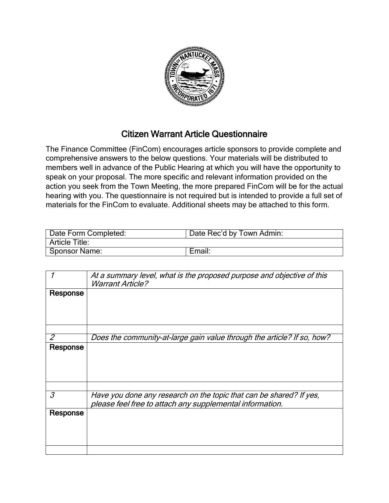

### Citizen Warrant Article Questionnaire

The Finance Committee (FinCom) encourages article sponsors to provide complete and comprehensive answers to the below questions. Your materials will be distributed to members well in advance of the Public Hearing at which you will have the opportunity to speak on your proposal. The more specific and relevant information provided on the action you seek from the Town Meeting, the more prepared FinCom will be for the actual hearing with you. The questionnaire is not required but is intended to provide a full set of materials for the FinCom to evaluate. Additional sheets may be attached to this form.

| Date Form Completed:  | Date Rec'd by Town Admin: |  |
|-----------------------|---------------------------|--|
| <b>Article Title:</b> |                           |  |
| <b>Sponsor Name:</b>  | Email:                    |  |

|          | At a summary level, what is the proposed purpose and objective of this<br><b>Warrant Article?</b> |
|----------|---------------------------------------------------------------------------------------------------|
| Response |                                                                                                   |
|          |                                                                                                   |
|          |                                                                                                   |
|          | Does the community-at-large gain value through the article? If so, how?                           |
| Response |                                                                                                   |
|          |                                                                                                   |
|          |                                                                                                   |
|          |                                                                                                   |
|          |                                                                                                   |
| 3        | Have you done any research on the topic that can be shared? If yes,                               |
|          | please feel free to attach any supplemental information.                                          |
| Response |                                                                                                   |
|          |                                                                                                   |
|          |                                                                                                   |
|          |                                                                                                   |
|          |                                                                                                   |